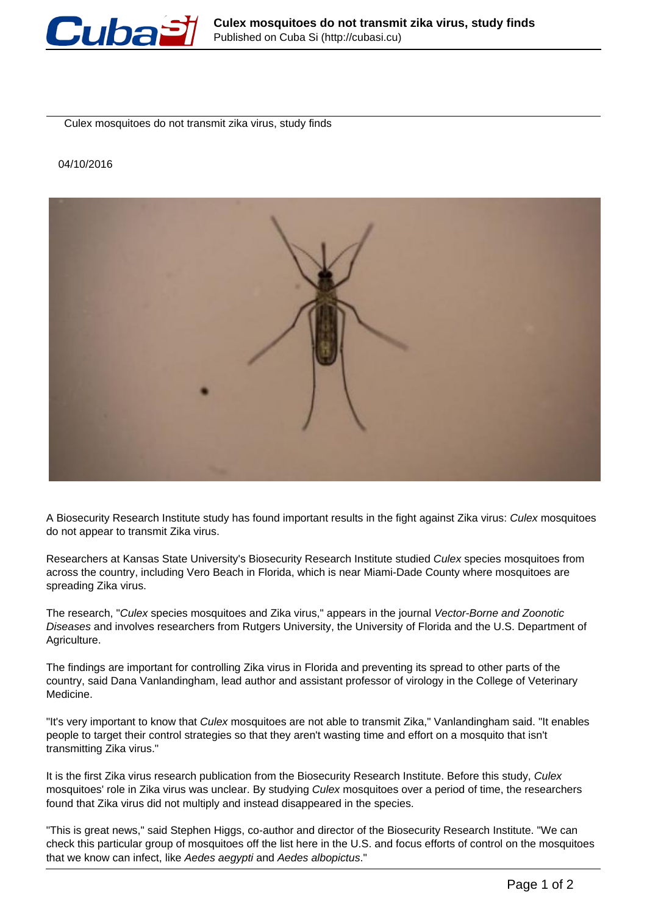

Culex mosquitoes do not transmit zika virus, study finds

## 04/10/2016



A Biosecurity Research Institute study has found important results in the fight against Zika virus: Culex mosquitoes do not appear to transmit Zika virus.

Researchers at Kansas State University's Biosecurity Research Institute studied Culex species mosquitoes from across the country, including Vero Beach in Florida, which is near Miami-Dade County where mosquitoes are spreading Zika virus.

The research, "Culex species mosquitoes and Zika virus," appears in the journal Vector-Borne and Zoonotic Diseases and involves researchers from Rutgers University, the University of Florida and the U.S. Department of Agriculture.

The findings are important for controlling Zika virus in Florida and preventing its spread to other parts of the country, said Dana Vanlandingham, lead author and assistant professor of virology in the College of Veterinary Medicine.

"It's very important to know that Culex mosquitoes are not able to transmit Zika," Vanlandingham said. "It enables people to target their control strategies so that they aren't wasting time and effort on a mosquito that isn't transmitting Zika virus."

It is the first Zika virus research publication from the Biosecurity Research Institute. Before this study, Culex mosquitoes' role in Zika virus was unclear. By studying Culex mosquitoes over a period of time, the researchers found that Zika virus did not multiply and instead disappeared in the species.

"This is great news," said Stephen Higgs, co-author and director of the Biosecurity Research Institute. "We can check this particular group of mosquitoes off the list here in the U.S. and focus efforts of control on the mosquitoes that we know can infect, like Aedes aegypti and Aedes albopictus."